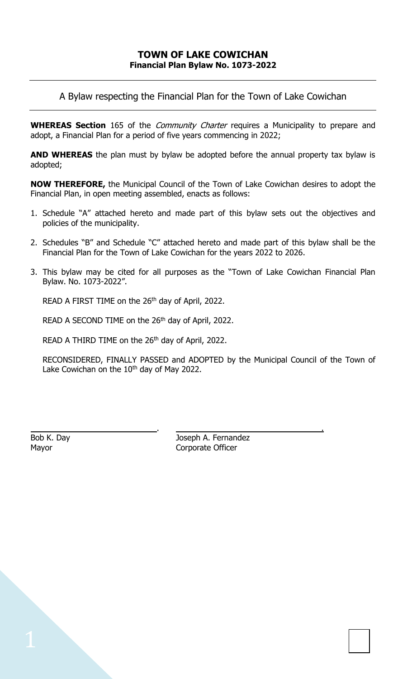A Bylaw respecting the Financial Plan for the Town of Lake Cowichan

**WHEREAS Section** 165 of the *Community Charter* requires a Municipality to prepare and adopt, a Financial Plan for a period of five years commencing in 2022;

**AND WHEREAS** the plan must by bylaw be adopted before the annual property tax bylaw is adopted;

**NOW THEREFORE,** the Municipal Council of the Town of Lake Cowichan desires to adopt the Financial Plan, in open meeting assembled, enacts as follows:

- 1. Schedule "A" attached hereto and made part of this bylaw sets out the objectives and policies of the municipality.
- 2. Schedules "B" and Schedule "C" attached hereto and made part of this bylaw shall be the Financial Plan for the Town of Lake Cowichan for the years 2022 to 2026.
- 3. This bylaw may be cited for all purposes as the "Town of Lake Cowichan Financial Plan Bylaw. No. 1073-2022".

READ A FIRST TIME on the 26<sup>th</sup> day of April, 2022.

READ A SECOND TIME on the 26<sup>th</sup> day of April, 2022.

READ A THIRD TIME on the 26<sup>th</sup> day of April, 2022.

RECONSIDERED, FINALLY PASSED and ADOPTED by the Municipal Council of the Town of Lake Cowichan on the 10<sup>th</sup> day of May 2022.

Bob K. Day Joseph A. Fernandez Mayor **Corporate Officer** 

. .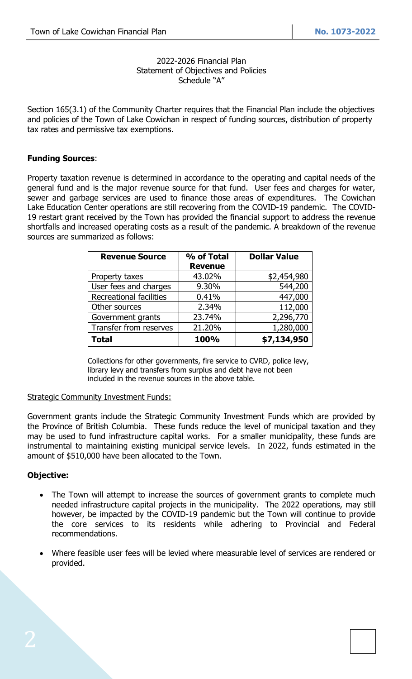#### 2022-2026 Financial Plan Statement of Objectives and Policies Schedule "A"

Section 165(3.1) of the Community Charter requires that the Financial Plan include the objectives and policies of the Town of Lake Cowichan in respect of funding sources, distribution of property tax rates and permissive tax exemptions.

### **Funding Sources**:

Property taxation revenue is determined in accordance to the operating and capital needs of the general fund and is the major revenue source for that fund. User fees and charges for water, sewer and garbage services are used to finance those areas of expenditures. The Cowichan Lake Education Center operations are still recovering from the COVID-19 pandemic. The COVID-19 restart grant received by the Town has provided the financial support to address the revenue shortfalls and increased operating costs as a result of the pandemic. A breakdown of the revenue sources are summarized as follows:

| <b>Revenue Source</b>          | % of Total     | <b>Dollar Value</b> |
|--------------------------------|----------------|---------------------|
|                                | <b>Revenue</b> |                     |
| Property taxes                 | 43.02%         | \$2,454,980         |
| User fees and charges          | 9.30%          | 544,200             |
| <b>Recreational facilities</b> | 0.41%          | 447,000             |
| Other sources                  | 2.34%          | 112,000             |
| Government grants              | 23.74%         | 2,296,770           |
| Transfer from reserves         | 21.20%         | 1,280,000           |
| <b>Total</b>                   | 100%           | \$7,134,950         |

Collections for other governments, fire service to CVRD, police levy, library levy and transfers from surplus and debt have not been included in the revenue sources in the above table.

### **Strategic Community Investment Funds:**

Government grants include the Strategic Community Investment Funds which are provided by the Province of British Columbia. These funds reduce the level of municipal taxation and they may be used to fund infrastructure capital works. For a smaller municipality, these funds are instrumental to maintaining existing municipal service levels. In 2022, funds estimated in the amount of \$510,000 have been allocated to the Town.

### **Objective:**

- The Town will attempt to increase the sources of government grants to complete much needed infrastructure capital projects in the municipality. The 2022 operations, may still however, be impacted by the COVID-19 pandemic but the Town will continue to provide the core services to its residents while adhering to Provincial and Federal recommendations.
- Where feasible user fees will be levied where measurable level of services are rendered or provided.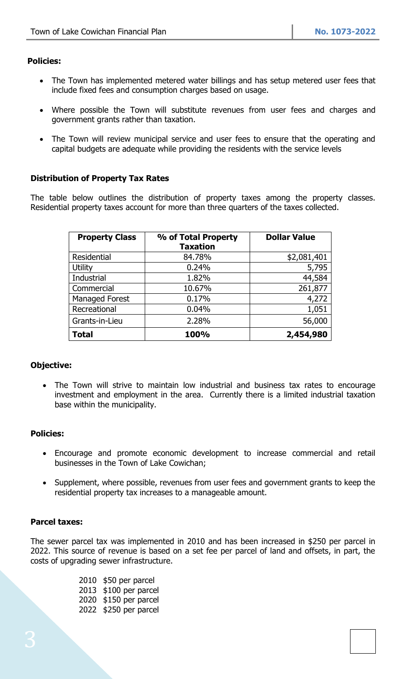# **Policies:**

- The Town has implemented metered water billings and has setup metered user fees that include fixed fees and consumption charges based on usage.
- Where possible the Town will substitute revenues from user fees and charges and government grants rather than taxation.
- The Town will review municipal service and user fees to ensure that the operating and capital budgets are adequate while providing the residents with the service levels

# **Distribution of Property Tax Rates**

The table below outlines the distribution of property taxes among the property classes. Residential property taxes account for more than three quarters of the taxes collected.

| <b>Property Class</b> | % of Total Property<br><b>Taxation</b> | <b>Dollar Value</b> |
|-----------------------|----------------------------------------|---------------------|
| Residential           | 84.78%                                 | \$2,081,401         |
| <b>Utility</b>        | 0.24%                                  | 5,795               |
| Industrial            | 1.82%                                  | 44,584              |
| Commercial            | 10.67%                                 | 261,877             |
| Managed Forest        | 0.17%                                  | 4,272               |
| Recreational          | 0.04%                                  | 1,051               |
| Grants-in-Lieu        | 2.28%                                  | 56,000              |
| <b>Total</b>          | 100%                                   | 2,454,980           |

# **Objective:**

The Town will strive to maintain low industrial and business tax rates to encourage investment and employment in the area. Currently there is a limited industrial taxation base within the municipality.

### **Policies:**

- Encourage and promote economic development to increase commercial and retail businesses in the Town of Lake Cowichan;
- Supplement, where possible, revenues from user fees and government grants to keep the residential property tax increases to a manageable amount.

### **Parcel taxes:**

The sewer parcel tax was implemented in 2010 and has been increased in \$250 per parcel in 2022. This source of revenue is based on a set fee per parcel of land and offsets, in part, the costs of upgrading sewer infrastructure.

> \$50 per parcel \$100 per parcel \$150 per parcel \$250 per parcel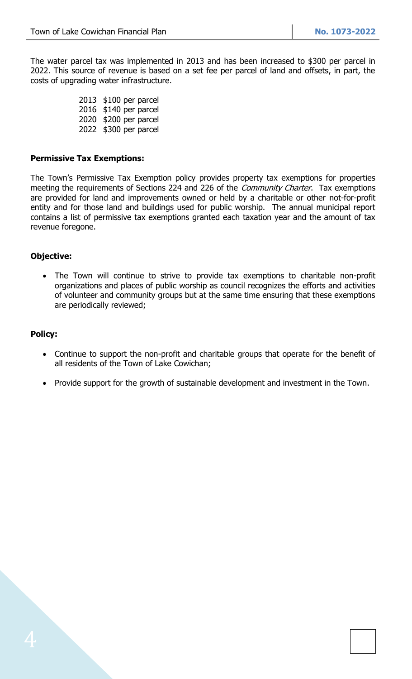The water parcel tax was implemented in 2013 and has been increased to \$300 per parcel in 2022. This source of revenue is based on a set fee per parcel of land and offsets, in part, the costs of upgrading water infrastructure.

> \$100 per parcel \$140 per parcel \$200 per parcel \$300 per parcel

#### **Permissive Tax Exemptions:**

The Town's Permissive Tax Exemption policy provides property tax exemptions for properties meeting the requirements of Sections 224 and 226 of the *Community Charter*. Tax exemptions are provided for land and improvements owned or held by a charitable or other not-for-profit entity and for those land and buildings used for public worship. The annual municipal report contains a list of permissive tax exemptions granted each taxation year and the amount of tax revenue foregone.

## **Objective:**

• The Town will continue to strive to provide tax exemptions to charitable non-profit organizations and places of public worship as council recognizes the efforts and activities of volunteer and community groups but at the same time ensuring that these exemptions are periodically reviewed;

#### **Policy:**

- Continue to support the non-profit and charitable groups that operate for the benefit of all residents of the Town of Lake Cowichan;
- Provide support for the growth of sustainable development and investment in the Town.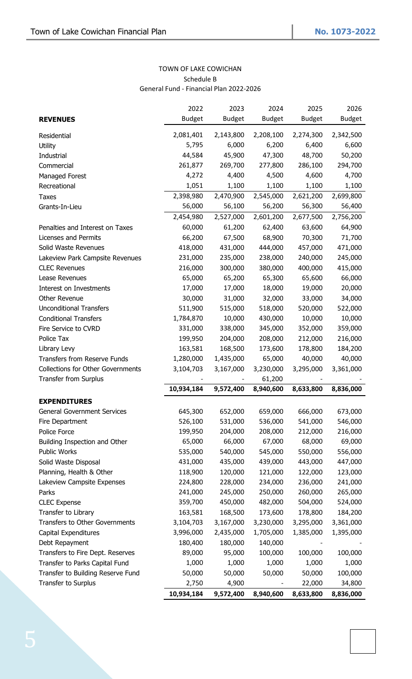## TOWN OF LAKE COWICHAN Schedule B General Fund - Financial Plan 2022-2026

|                                          | 2022          | 2023          | 2024          | 2025          | 2026          |
|------------------------------------------|---------------|---------------|---------------|---------------|---------------|
| <b>REVENUES</b>                          | <b>Budget</b> | <b>Budget</b> | <b>Budget</b> | <b>Budget</b> | <b>Budget</b> |
| Residential                              | 2,081,401     | 2,143,800     | 2,208,100     | 2,274,300     | 2,342,500     |
| <b>Utility</b>                           | 5,795         | 6,000         | 6,200         | 6,400         | 6,600         |
| Industrial                               | 44,584        | 45,900        | 47,300        | 48,700        | 50,200        |
| Commercial                               | 261,877       | 269,700       | 277,800       | 286,100       | 294,700       |
| Managed Forest                           | 4,272         | 4,400         | 4,500         | 4,600         | 4,700         |
| Recreational                             | 1,051         | 1,100         | 1,100         | 1,100         | 1,100         |
| Taxes                                    | 2,398,980     | 2,470,900     | 2,545,000     | 2,621,200     | 2,699,800     |
| Grants-In-Lieu                           | 56,000        | 56,100        | 56,200        | 56,300        | 56,400        |
|                                          | 2,454,980     | 2,527,000     | 2,601,200     | 2,677,500     | 2,756,200     |
| Penalties and Interest on Taxes          | 60,000        | 61,200        | 62,400        | 63,600        | 64,900        |
| Licenses and Permits                     | 66,200        | 67,500        | 68,900        | 70,300        | 71,700        |
| Solid Waste Revenues                     | 418,000       | 431,000       | 444,000       | 457,000       | 471,000       |
| Lakeview Park Campsite Revenues          | 231,000       | 235,000       | 238,000       | 240,000       | 245,000       |
| <b>CLEC Revenues</b>                     | 216,000       | 300,000       | 380,000       | 400,000       | 415,000       |
| Lease Revenues                           | 65,000        | 65,200        | 65,300        | 65,600        | 66,000        |
| Interest on Investments                  | 17,000        | 17,000        | 18,000        | 19,000        | 20,000        |
| Other Revenue                            | 30,000        | 31,000        | 32,000        | 33,000        | 34,000        |
| <b>Unconditional Transfers</b>           | 511,900       | 515,000       | 518,000       | 520,000       | 522,000       |
| <b>Conditional Transfers</b>             | 1,784,870     | 10,000        | 430,000       | 10,000        | 10,000        |
| Fire Service to CVRD                     | 331,000       | 338,000       | 345,000       | 352,000       | 359,000       |
| Police Tax                               | 199,950       | 204,000       | 208,000       | 212,000       | 216,000       |
| Library Levy                             | 163,581       | 168,500       | 173,600       | 178,800       | 184,200       |
| <b>Transfers from Reserve Funds</b>      | 1,280,000     | 1,435,000     | 65,000        | 40,000        | 40,000        |
| <b>Collections for Other Governments</b> | 3,104,703     | 3,167,000     | 3,230,000     | 3,295,000     | 3,361,000     |
| Transfer from Surplus                    |               |               | 61,200        |               |               |
|                                          | 10,934,184    | 9,572,400     | 8,940,600     | 8,633,800     | 8,836,000     |
| <b>EXPENDITURES</b>                      |               |               |               |               |               |
| <b>General Government Services</b>       | 645,300       | 652,000       | 659,000       | 666,000       | 673,000       |
| Fire Department                          | 526,100       | 531,000       | 536,000       | 541,000       | 546,000       |
| Police Force                             | 199,950       | 204,000       | 208,000       | 212,000       | 216,000       |
| Building Inspection and Other            | 65,000        | 66,000        | 67,000        | 68,000        | 69,000        |
| Public Works                             | 535,000       | 540,000       | 545,000       | 550,000       | 556,000       |
| Solid Waste Disposal                     | 431,000       | 435,000       | 439,000       | 443,000       | 447,000       |
| Planning, Health & Other                 | 118,900       | 120,000       | 121,000       | 122,000       | 123,000       |
| Lakeview Campsite Expenses               | 224,800       | 228,000       | 234,000       | 236,000       | 241,000       |
| Parks                                    | 241,000       | 245,000       | 250,000       | 260,000       | 265,000       |
| <b>CLEC Expense</b>                      | 359,700       | 450,000       | 482,000       | 504,000       | 524,000       |
| Transfer to Library                      | 163,581       | 168,500       | 173,600       | 178,800       | 184,200       |
| Transfers to Other Governments           | 3,104,703     | 3,167,000     | 3,230,000     | 3,295,000     | 3,361,000     |
| Capital Expenditures                     | 3,996,000     | 2,435,000     | 1,705,000     | 1,385,000     | 1,395,000     |
| Debt Repayment                           | 180,400       | 180,000       | 140,000       |               |               |
| Transfers to Fire Dept. Reserves         | 89,000        | 95,000        | 100,000       | 100,000       | 100,000       |
| Transfer to Parks Capital Fund           | 1,000         | 1,000         | 1,000         | 1,000         | 1,000         |
| Transfer to Building Reserve Fund        | 50,000        | 50,000        | 50,000        | 50,000        | 100,000       |
| Transfer to Surplus                      | 2,750         | 4,900         |               | 22,000        | 34,800        |
|                                          | 10,934,184    | 9,572,400     | 8,940,600     | 8,633,800     | 8,836,000     |